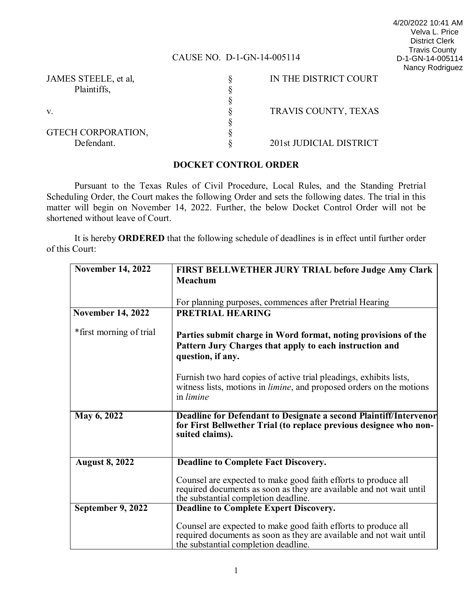### CAUSE NO. D-1-GN-14-005114

| 4/20/2022 10:41 AM    |
|-----------------------|
| Velva L. Price        |
| <b>District Clerk</b> |
| <b>Travis County</b>  |
| D-1-GN-14-005114      |
| Nancy Rodriguez       |

| JAMES STEELE, et al, | IN THE DISTRICT COURT   |
|----------------------|-------------------------|
| Plaintiffs,          |                         |
|                      |                         |
| V.                   | TRAVIS COUNTY, TEXAS    |
|                      |                         |
| GTECH CORPORATION,   |                         |
| Defendant.           | 201st JUDICIAL DISTRICT |

#### **DOCKET CONTROL ORDER**

Pursuant to the Texas Rules of Civil Procedure, Local Rules, and the Standing Pretrial Scheduling Order, the Court makes the following Order and sets the following dates. The trial in this matter will begin on November 14, 2022. Further, the below Docket Control Order will not be shortened without leave of Court.

It is hereby **ORDERED** that the following schedule of deadlines is in effect until further order of this Court:

| <b>November 14, 2022</b> | <b>FIRST BELLWETHER JURY TRIAL before Judge Amy Clark</b>                    |  |  |  |
|--------------------------|------------------------------------------------------------------------------|--|--|--|
|                          | Meachum                                                                      |  |  |  |
|                          |                                                                              |  |  |  |
|                          |                                                                              |  |  |  |
|                          | For planning purposes, commences after Pretrial Hearing                      |  |  |  |
| <b>November 14, 2022</b> | <b>PRETRIAL HEARING</b>                                                      |  |  |  |
| *first morning of trial  |                                                                              |  |  |  |
|                          | Parties submit charge in Word format, noting provisions of the               |  |  |  |
|                          | Pattern Jury Charges that apply to each instruction and                      |  |  |  |
|                          | question, if any.                                                            |  |  |  |
|                          |                                                                              |  |  |  |
|                          | Furnish two hard copies of active trial pleadings, exhibits lists,           |  |  |  |
|                          | witness lists, motions in <i>limine</i> , and proposed orders on the motions |  |  |  |
|                          | in <i>limine</i>                                                             |  |  |  |
|                          |                                                                              |  |  |  |
| May 6, 2022              | Deadline for Defendant to Designate a second Plaintiff/Intervenor            |  |  |  |
|                          | for First Bellwether Trial (to replace previous designee who non-            |  |  |  |
|                          | suited claims).                                                              |  |  |  |
|                          |                                                                              |  |  |  |
|                          |                                                                              |  |  |  |
| <b>August 8, 2022</b>    | <b>Deadline to Complete Fact Discovery.</b>                                  |  |  |  |
|                          | Counsel are expected to make good faith efforts to produce all               |  |  |  |
|                          | required documents as soon as they are available and not wait until          |  |  |  |
|                          | the substantial completion deadline.                                         |  |  |  |
| September 9, 2022        | <b>Deadline to Complete Expert Discovery.</b>                                |  |  |  |
|                          |                                                                              |  |  |  |
|                          | Counsel are expected to make good faith efforts to produce all               |  |  |  |
|                          | required documents as soon as they are available and not wait until          |  |  |  |
|                          | the substantial completion deadline.                                         |  |  |  |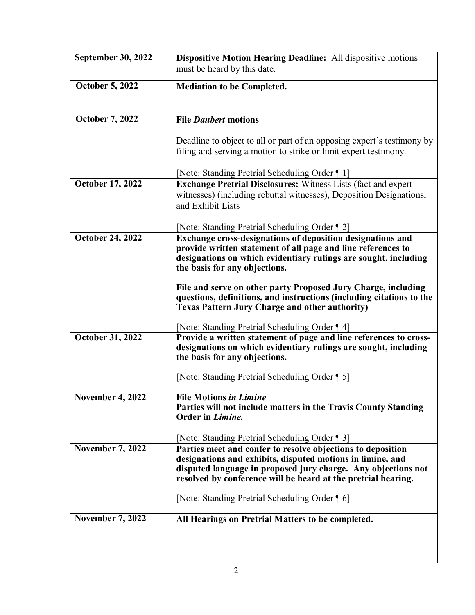| <b>September 30, 2022</b> | Dispositive Motion Hearing Deadline: All dispositive motions<br>must be heard by this date.                                                |  |  |  |
|---------------------------|--------------------------------------------------------------------------------------------------------------------------------------------|--|--|--|
|                           |                                                                                                                                            |  |  |  |
| <b>October 5, 2022</b>    | <b>Mediation to be Completed.</b>                                                                                                          |  |  |  |
|                           |                                                                                                                                            |  |  |  |
| <b>October 7, 2022</b>    | <b>File Daubert motions</b>                                                                                                                |  |  |  |
|                           |                                                                                                                                            |  |  |  |
|                           | Deadline to object to all or part of an opposing expert's testimony by<br>filing and serving a motion to strike or limit expert testimony. |  |  |  |
|                           | [Note: Standing Pretrial Scheduling Order 1]                                                                                               |  |  |  |
| October 17, 2022          | <b>Exchange Pretrial Disclosures:</b> Witness Lists (fact and expert                                                                       |  |  |  |
|                           | witnesses) (including rebuttal witnesses), Deposition Designations,<br>and Exhibit Lists                                                   |  |  |  |
|                           | [Note: Standing Pretrial Scheduling Order 12]                                                                                              |  |  |  |
| <b>October 24, 2022</b>   | Exchange cross-designations of deposition designations and                                                                                 |  |  |  |
|                           | provide written statement of all page and line references to                                                                               |  |  |  |
|                           | designations on which evidentiary rulings are sought, including<br>the basis for any objections.                                           |  |  |  |
|                           |                                                                                                                                            |  |  |  |
|                           | File and serve on other party Proposed Jury Charge, including<br>questions, definitions, and instructions (including citations to the      |  |  |  |
|                           | <b>Texas Pattern Jury Charge and other authority)</b>                                                                                      |  |  |  |
|                           | [Note: Standing Pretrial Scheduling Order 14]                                                                                              |  |  |  |
| October 31, 2022          | Provide a written statement of page and line references to cross-                                                                          |  |  |  |
|                           | designations on which evidentiary rulings are sought, including                                                                            |  |  |  |
|                           | the basis for any objections.                                                                                                              |  |  |  |
|                           | [Note: Standing Pretrial Scheduling Order [5]                                                                                              |  |  |  |
| <b>November 4, 2022</b>   | <b>File Motions in Limine</b>                                                                                                              |  |  |  |
|                           | Parties will not include matters in the Travis County Standing                                                                             |  |  |  |
|                           | Order in Limine.                                                                                                                           |  |  |  |
|                           | [Note: Standing Pretrial Scheduling Order 1]                                                                                               |  |  |  |
| <b>November 7, 2022</b>   | Parties meet and confer to resolve objections to deposition                                                                                |  |  |  |
|                           | designations and exhibits, disputed motions in limine, and                                                                                 |  |  |  |
|                           | disputed language in proposed jury charge. Any objections not<br>resolved by conference will be heard at the pretrial hearing.             |  |  |  |
|                           |                                                                                                                                            |  |  |  |
|                           | [Note: Standing Pretrial Scheduling Order [6]                                                                                              |  |  |  |
| <b>November 7, 2022</b>   | All Hearings on Pretrial Matters to be completed.                                                                                          |  |  |  |
|                           |                                                                                                                                            |  |  |  |
|                           |                                                                                                                                            |  |  |  |
|                           |                                                                                                                                            |  |  |  |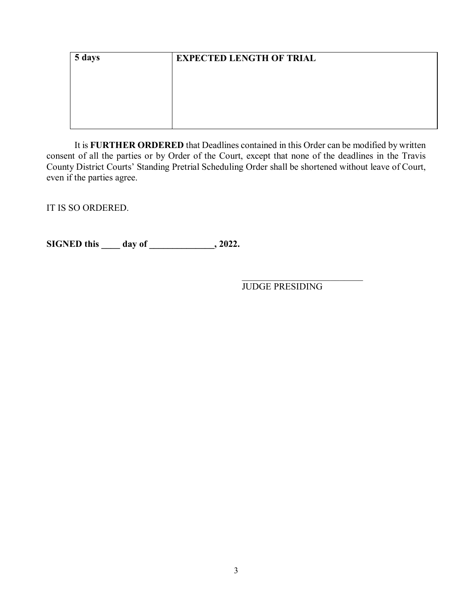| 5 days | <b>EXPECTED LENGTH OF TRIAL</b> |  |  |  |  |  |
|--------|---------------------------------|--|--|--|--|--|
|        |                                 |  |  |  |  |  |
|        |                                 |  |  |  |  |  |
|        |                                 |  |  |  |  |  |
|        |                                 |  |  |  |  |  |

It is **FURTHER ORDERED** that Deadlines contained in this Order can be modified by written consent of all the parties or by Order of the Court, except that none of the deadlines in the Travis County District Courts' Standing Pretrial Scheduling Order shall be shortened without leave of Court, even if the parties agree.

IT IS SO ORDERED.

**SIGNED this \_\_\_\_ day of \_\_\_\_\_\_\_\_\_\_\_\_\_\_, 2022.**

\_\_\_\_\_\_\_\_\_\_\_\_\_\_\_\_\_\_\_\_\_\_\_\_\_\_ JUDGE PRESIDING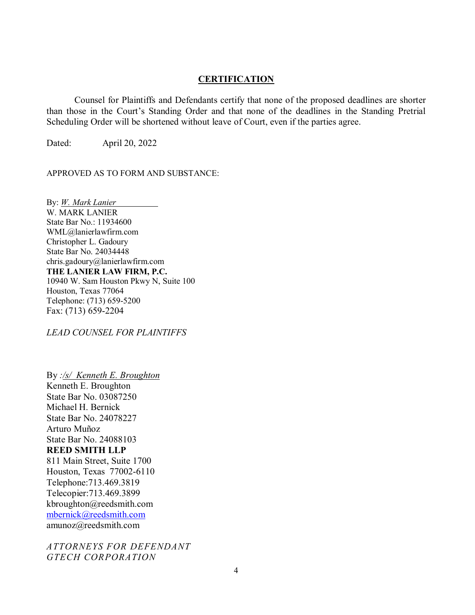#### **CERTIFICATION**

Counsel for Plaintiffs and Defendants certify that none of the proposed deadlines are shorter than those in the Court's Standing Order and that none of the deadlines in the Standing Pretrial Scheduling Order will be shortened without leave of Court, even if the parties agree.

Dated: April 20, 2022

APPROVED AS TO FORM AND SUBSTANCE:

By: *W. Mark Lanier* W. MARK LANIER State Bar No.: 11934600 WML@lanierlawfirm.com Christopher L. Gadoury State Bar No. 24034448 chris.gadoury@lanierlawfirm.com **THE LANIER LAW FIRM, P.C.** 10940 W. Sam Houston Pkwy N, Suite 100 Houston, Texas 77064 Telephone: (713) 659-5200 Fax: (713) 659-2204

*LEAD COUNSEL FOR PLAINTIFFS*

By *:/s/ Kenneth E. Broughton* Kenneth E. Broughton State Bar No. 03087250 Michael H. Bernick State Bar No. 24078227 Arturo Muñoz State Bar No. 24088103 **REED SMITH LLP** 811 Main Street, Suite 1700 Houston, Texas 77002-6110 Telephone:713.469.3819 Telecopier:713.469.3899 kbroughton@reedsmith.com mbernick@reedsmith.com amunoz@reedsmith.com

*ATTORNEYS FOR DEFENDANT GTECH CORPORATION*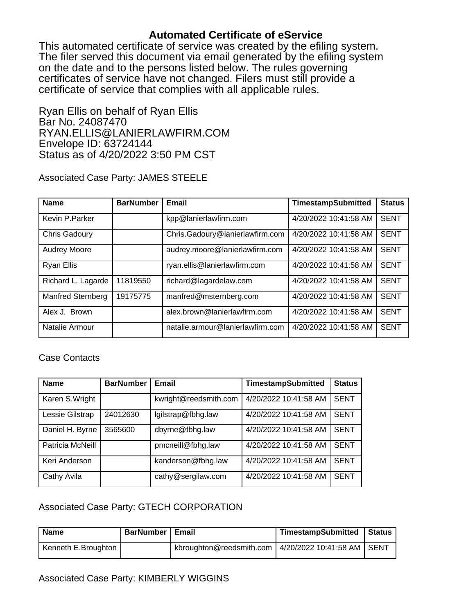# **Automated Certificate of eService**

This automated certificate of service was created by the efiling system. The filer served this document via email generated by the efiling system on the date and to the persons listed below. The rules governing certificates of service have not changed. Filers must still provide a certificate of service that complies with all applicable rules.

Ryan Ellis on behalf of Ryan Ellis Bar No. 24087470 RYAN.ELLIS@LANIERLAWFIRM.COM Envelope ID: 63724144 Status as of 4/20/2022 3:50 PM CST

Associated Case Party: JAMES STEELE

| <b>Name</b>              | <b>BarNumber</b> | Email                            | <b>TimestampSubmitted</b> | <b>Status</b> |
|--------------------------|------------------|----------------------------------|---------------------------|---------------|
| Kevin P.Parker           |                  | kpp@lanierlawfirm.com            | 4/20/2022 10:41:58 AM     | <b>SENT</b>   |
| Chris Gadoury            |                  | Chris.Gadoury@lanierlawfirm.com  | 4/20/2022 10:41:58 AM     | <b>SENT</b>   |
| <b>Audrey Moore</b>      |                  | audrey.moore@lanierlawfirm.com   | 4/20/2022 10:41:58 AM     | <b>SENT</b>   |
| <b>Ryan Ellis</b>        |                  | ryan.ellis@lanierlawfirm.com     | 4/20/2022 10:41:58 AM     | <b>SENT</b>   |
| Richard L. Lagarde       | 11819550         | richard@lagardelaw.com           | 4/20/2022 10:41:58 AM     | <b>SENT</b>   |
| <b>Manfred Sternberg</b> | 19175775         | manfred@msternberg.com           | 4/20/2022 10:41:58 AM     | <b>SENT</b>   |
| Alex J. Brown            |                  | alex.brown@lanierlawfirm.com     | 4/20/2022 10:41:58 AM     | <b>SENT</b>   |
| Natalie Armour           |                  | natalie.armour@lanierlawfirm.com | 4/20/2022 10:41:58 AM     | <b>SENT</b>   |

## Case Contacts

| <b>Name</b>      | <b>BarNumber</b> | Email                 | <b>TimestampSubmitted</b> | <b>Status</b> |
|------------------|------------------|-----------------------|---------------------------|---------------|
| Karen S. Wright  |                  | kwright@reedsmith.com | 4/20/2022 10:41:58 AM     | <b>SENT</b>   |
| Lessie Gilstrap  | 24012630         | lgilstrap@fbhg.law    | 4/20/2022 10:41:58 AM     | <b>SENT</b>   |
| Daniel H. Byrne  | 3565600          | dbyrne@fbhg.law       | 4/20/2022 10:41:58 AM     | <b>SENT</b>   |
| Patricia McNeill |                  | pmcneill@fbhg.law     | 4/20/2022 10:41:58 AM     | <b>SENT</b>   |
| Keri Anderson    |                  | kanderson@fbhg.law    | 4/20/2022 10:41:58 AM     | <b>SENT</b>   |
| Cathy Avila      |                  | cathy@sergilaw.com    | 4/20/2022 10:41:58 AM     | <b>SENT</b>   |

## Associated Case Party: GTECH CORPORATION

| <b>Name</b>         | BarNumber   Email |                                                           | TimestampSubmitted | ' Status |
|---------------------|-------------------|-----------------------------------------------------------|--------------------|----------|
| Kenneth E.Broughton |                   | kbroughton@reedsmith.com   $4/20/2022$ 10:41:58 AM   SENT |                    |          |

### Associated Case Party: KIMBERLY WIGGINS